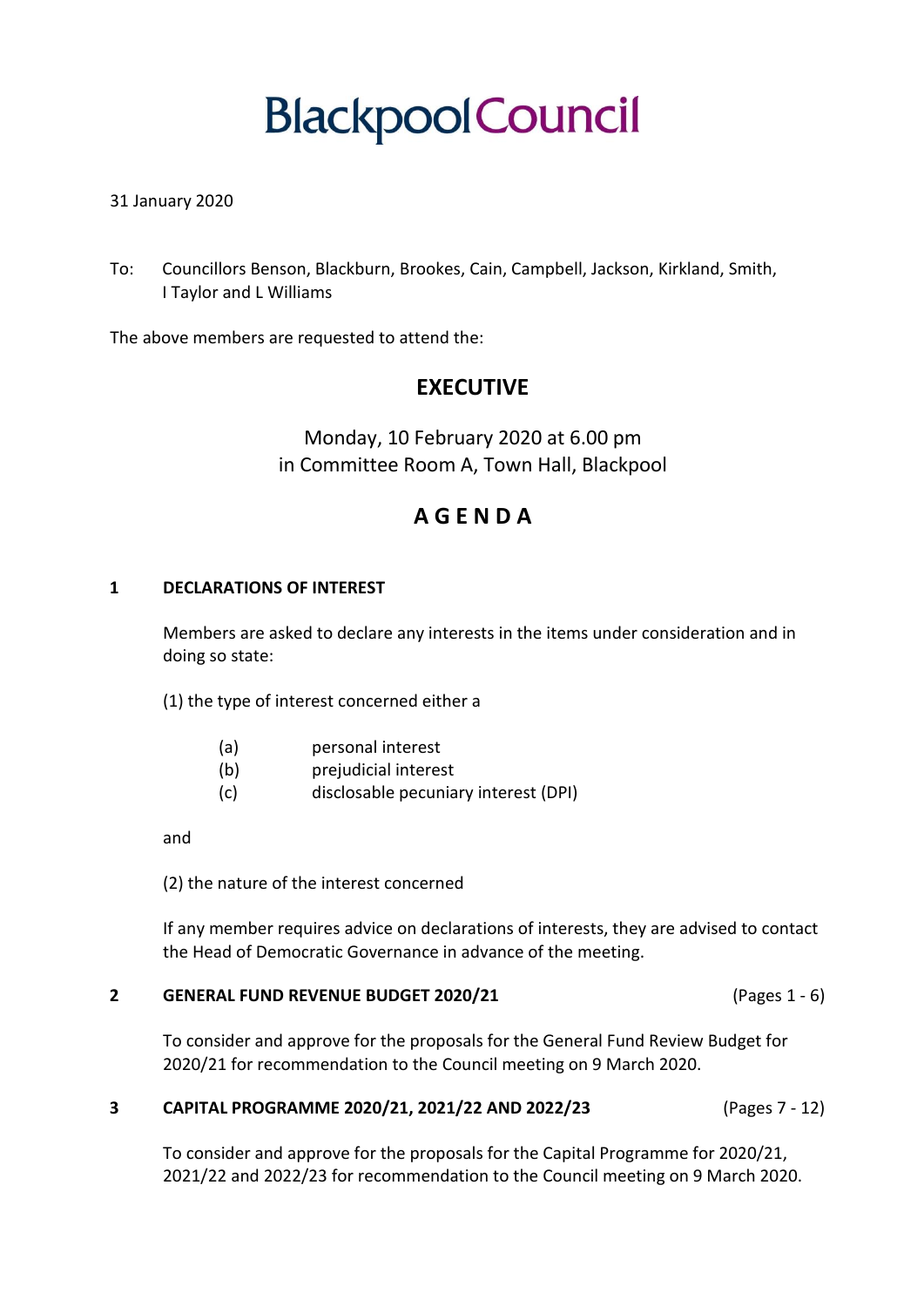# **BlackpoolCouncil**

## 31 January 2020

To: Councillors Benson, Blackburn, Brookes, Cain, Campbell, Jackson, Kirkland, Smith, I Taylor and L Williams

The above members are requested to attend the:

# **EXECUTIVE**

Monday, 10 February 2020 at 6.00 pm in Committee Room A, Town Hall, Blackpool

# **A G E N D A**

## **1 DECLARATIONS OF INTEREST**

Members are asked to declare any interests in the items under consideration and in doing so state:

(1) the type of interest concerned either a

- (a) personal interest
- (b) prejudicial interest
- (c) disclosable pecuniary interest (DPI)

and

(2) the nature of the interest concerned

If any member requires advice on declarations of interests, they are advised to contact the Head of Democratic Governance in advance of the meeting.

## **2 GENERAL FUND REVENUE BUDGET 2020/21** (Pages 1 - 6)

To consider and approve for the proposals for the General Fund Review Budget for 2020/21 for recommendation to the Council meeting on 9 March 2020.

## **3 CAPITAL PROGRAMME 2020/21, 2021/22 AND 2022/23** (Pages 7 - 12)

To consider and approve for the proposals for the Capital Programme for 2020/21, 2021/22 and 2022/23 for recommendation to the Council meeting on 9 March 2020.